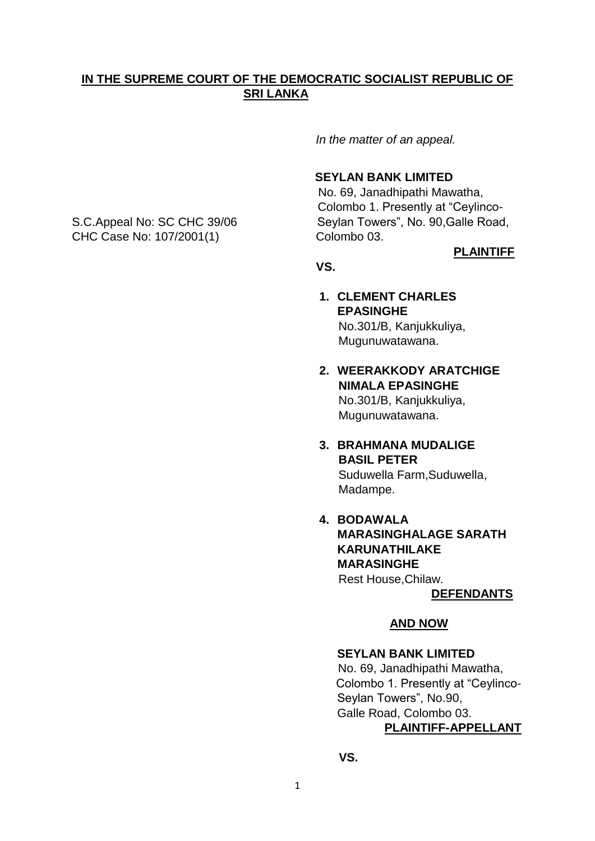### **IN THE SUPREME COURT OF THE DEMOCRATIC SOCIALIST REPUBLIC OF SRI LANKA**

 *In the matter of an appeal.*

#### **SEYLAN BANK LIMITED**

No. 69, Janadhipathi Mawatha, Colombo 1. Presently at "Ceylinco-S.C.Appeal No: SC CHC 39/06 Seylan Towers", No. 90, Galle Road,

**PLAINTIFF** 

### **VS.**

- **1. CLEMENT CHARLES EPASINGHE** No.301/B, Kanjukkuliya, Mugunuwatawana.
- **2. WEERAKKODY ARATCHIGE NIMALA EPASINGHE** No.301/B, Kanjukkuliya, Mugunuwatawana.
- **3. BRAHMANA MUDALIGE BASIL PETER** Suduwella Farm,Suduwella,

Madampe.

**4. BODAWALA MARASINGHALAGE SARATH KARUNATHILAKE MARASINGHE** Rest House,Chilaw.

**DEFENDANTS**

### **AND NOW**

### **SEYLAN BANK LIMITED**

No. 69, Janadhipathi Mawatha, Colombo 1. Presently at "Ceylinco- Seylan Towers", No.90, Galle Road, Colombo 03.

# **PLAINTIFF-APPELLANT**

 **VS.**

CHC Case No: 107/2001(1) Colombo 03.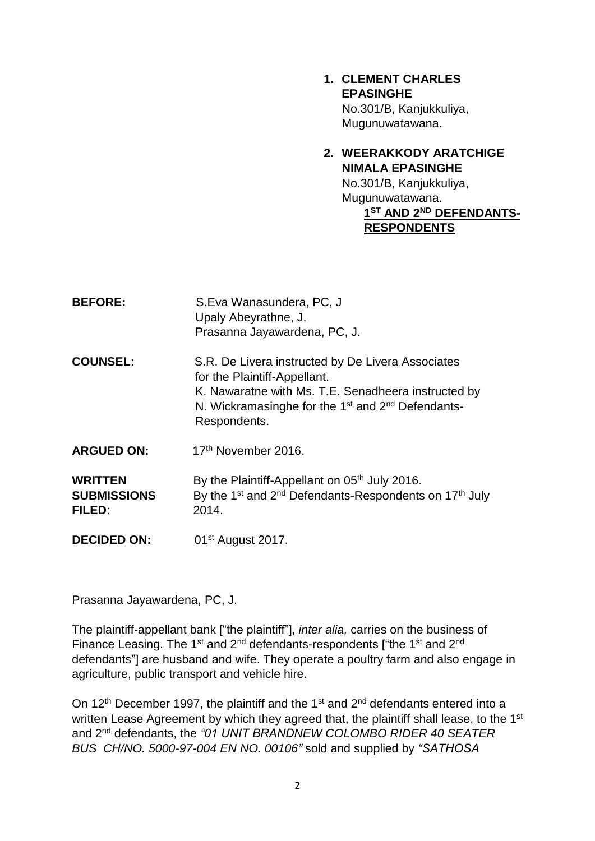**1. CLEMENT CHARLES EPASINGHE** No.301/B, Kanjukkuliya, Mugunuwatawana.

# **2. WEERAKKODY ARATCHIGE NIMALA EPASINGHE**

No.301/B, Kanjukkuliya, Mugunuwatawana.  **1 ST AND 2ND DEFENDANTS- RESPONDENTS** 

| <b>BEFORE:</b>                                 | S.Eva Wanasundera, PC, J<br>Upaly Abeyrathne, J.<br>Prasanna Jayawardena, PC, J.                                                                                                                                                      |
|------------------------------------------------|---------------------------------------------------------------------------------------------------------------------------------------------------------------------------------------------------------------------------------------|
| <b>COUNSEL:</b>                                | S.R. De Livera instructed by De Livera Associates<br>for the Plaintiff-Appellant.<br>K. Nawaratne with Ms. T.E. Senadheera instructed by<br>N. Wickramasinghe for the 1 <sup>st</sup> and 2 <sup>nd</sup> Defendants-<br>Respondents. |
| <b>ARGUED ON:</b>                              | 17th November 2016.                                                                                                                                                                                                                   |
| <b>WRITTEN</b><br><b>SUBMISSIONS</b><br>FILED: | By the Plaintiff-Appellant on 05 <sup>th</sup> July 2016.<br>By the 1 <sup>st</sup> and 2 <sup>nd</sup> Defendants-Respondents on 17 <sup>th</sup> July<br>2014.                                                                      |
| <b>DECIDED ON:</b>                             | $01st$ August 2017.                                                                                                                                                                                                                   |

Prasanna Jayawardena, PC, J.

The plaintiff-appellant bank ["the plaintiff"], *inter alia,* carries on the business of Finance Leasing. The 1<sup>st</sup> and 2<sup>nd</sup> defendants-respondents ["the 1<sup>st</sup> and 2<sup>nd</sup> defendants"] are husband and wife. They operate a poultry farm and also engage in agriculture, public transport and vehicle hire.

On 12<sup>th</sup> December 1997, the plaintiff and the 1<sup>st</sup> and 2<sup>nd</sup> defendants entered into a written Lease Agreement by which they agreed that, the plaintiff shall lease, to the 1<sup>st</sup> and 2nd defendants, the *"01 UNIT BRANDNEW COLOMBO RIDER 40 SEATER BUS CH/NO. 5000-97-004 EN NO. 00106"* sold and supplied by *"SATHOSA*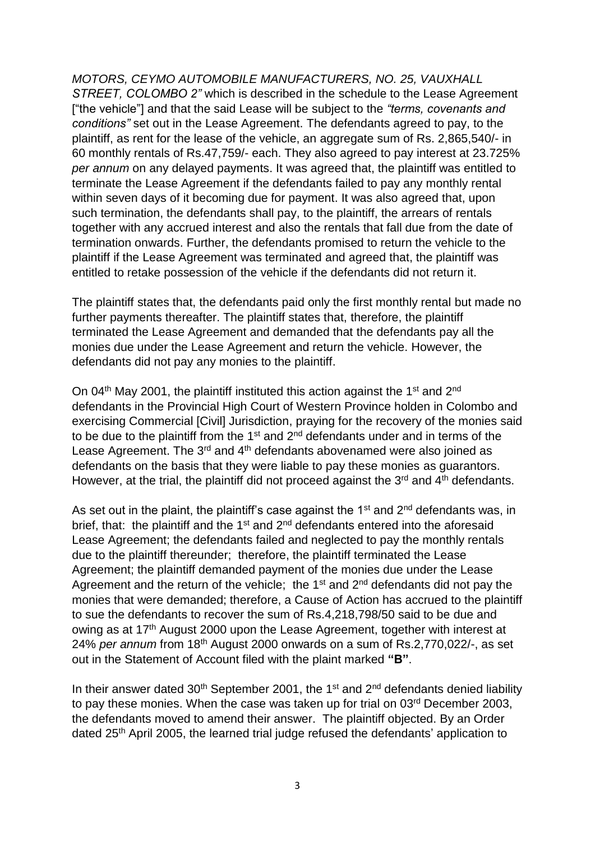*MOTORS, CEYMO AUTOMOBILE MANUFACTURERS, NO. 25, VAUXHALL STREET, COLOMBO 2"* which is described in the schedule to the Lease Agreement ["the vehicle"] and that the said Lease will be subject to the *"terms, covenants and conditions"* set out in the Lease Agreement. The defendants agreed to pay, to the plaintiff, as rent for the lease of the vehicle, an aggregate sum of Rs. 2,865,540/- in 60 monthly rentals of Rs.47,759/- each. They also agreed to pay interest at 23.725% *per annum* on any delayed payments. It was agreed that, the plaintiff was entitled to terminate the Lease Agreement if the defendants failed to pay any monthly rental within seven days of it becoming due for payment. It was also agreed that, upon such termination, the defendants shall pay, to the plaintiff, the arrears of rentals together with any accrued interest and also the rentals that fall due from the date of termination onwards. Further, the defendants promised to return the vehicle to the plaintiff if the Lease Agreement was terminated and agreed that, the plaintiff was entitled to retake possession of the vehicle if the defendants did not return it.

The plaintiff states that, the defendants paid only the first monthly rental but made no further payments thereafter. The plaintiff states that, therefore, the plaintiff terminated the Lease Agreement and demanded that the defendants pay all the monies due under the Lease Agreement and return the vehicle. However, the defendants did not pay any monies to the plaintiff.

On 04<sup>th</sup> May 2001, the plaintiff instituted this action against the 1<sup>st</sup> and 2<sup>nd</sup> defendants in the Provincial High Court of Western Province holden in Colombo and exercising Commercial [Civil] Jurisdiction, praying for the recovery of the monies said to be due to the plaintiff from the  $1<sup>st</sup>$  and  $2<sup>nd</sup>$  defendants under and in terms of the Lease Agreement. The 3<sup>rd</sup> and 4<sup>th</sup> defendants abovenamed were also joined as defendants on the basis that they were liable to pay these monies as guarantors. However, at the trial, the plaintiff did not proceed against the  $3<sup>rd</sup>$  and  $4<sup>th</sup>$  defendants.

As set out in the plaint, the plaintiff's case against the  $1<sup>st</sup>$  and  $2<sup>nd</sup>$  defendants was, in brief, that: the plaintiff and the  $1<sup>st</sup>$  and  $2<sup>nd</sup>$  defendants entered into the aforesaid Lease Agreement; the defendants failed and neglected to pay the monthly rentals due to the plaintiff thereunder; therefore, the plaintiff terminated the Lease Agreement; the plaintiff demanded payment of the monies due under the Lease Agreement and the return of the vehicle; the  $1<sup>st</sup>$  and  $2<sup>nd</sup>$  defendants did not pay the monies that were demanded; therefore, a Cause of Action has accrued to the plaintiff to sue the defendants to recover the sum of Rs.4,218,798/50 said to be due and owing as at 17<sup>th</sup> August 2000 upon the Lease Agreement, together with interest at 24% *per annum* from 18th August 2000 onwards on a sum of Rs.2,770,022/-, as set out in the Statement of Account filed with the plaint marked **"B"**.

In their answer dated  $30<sup>th</sup>$  September 2001, the 1<sup>st</sup> and  $2<sup>nd</sup>$  defendants denied liability to pay these monies. When the case was taken up for trial on 03<sup>rd</sup> December 2003, the defendants moved to amend their answer. The plaintiff objected. By an Order dated 25th April 2005, the learned trial judge refused the defendants' application to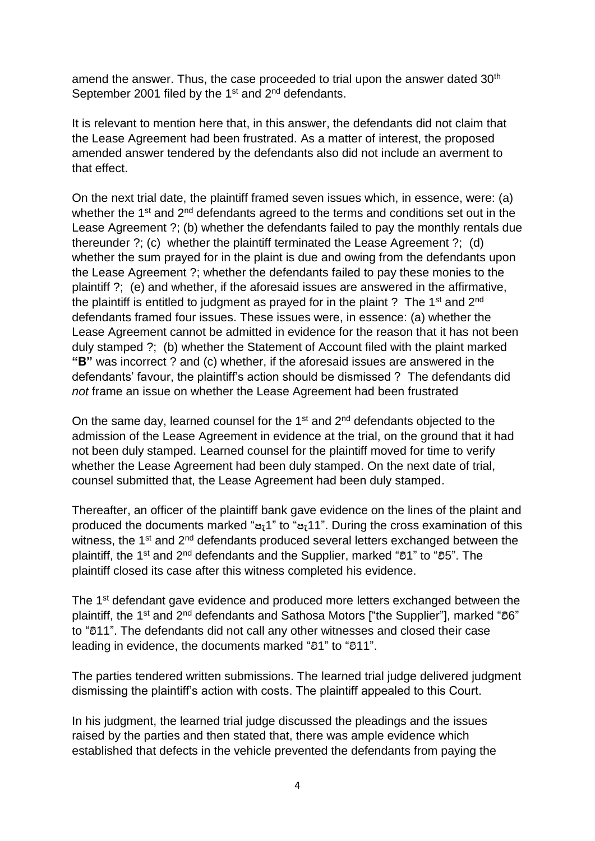amend the answer. Thus, the case proceeded to trial upon the answer dated 30<sup>th</sup> September 2001 filed by the 1<sup>st</sup> and 2<sup>nd</sup> defendants.

It is relevant to mention here that, in this answer, the defendants did not claim that the Lease Agreement had been frustrated. As a matter of interest, the proposed amended answer tendered by the defendants also did not include an averment to that effect.

On the next trial date, the plaintiff framed seven issues which, in essence, were: (a) whether the 1<sup>st</sup> and 2<sup>nd</sup> defendants agreed to the terms and conditions set out in the Lease Agreement ?; (b) whether the defendants failed to pay the monthly rentals due thereunder ?; (c) whether the plaintiff terminated the Lease Agreement ?; (d) whether the sum prayed for in the plaint is due and owing from the defendants upon the Lease Agreement ?; whether the defendants failed to pay these monies to the plaintiff ?; (e) and whether, if the aforesaid issues are answered in the affirmative, the plaintiff is entitled to judgment as prayed for in the plaint ? The 1<sup>st</sup> and  $2^{nd}$ defendants framed four issues. These issues were, in essence: (a) whether the Lease Agreement cannot be admitted in evidence for the reason that it has not been duly stamped ?; (b) whether the Statement of Account filed with the plaint marked **"B"** was incorrect ? and (c) whether, if the aforesaid issues are answered in the defendants' favour, the plaintiff's action should be dismissed ? The defendants did *not* frame an issue on whether the Lease Agreement had been frustrated

On the same day, learned counsel for the 1<sup>st</sup> and 2<sup>nd</sup> defendants objected to the admission of the Lease Agreement in evidence at the trial, on the ground that it had not been duly stamped. Learned counsel for the plaintiff moved for time to verify whether the Lease Agreement had been duly stamped. On the next date of trial, counsel submitted that, the Lease Agreement had been duly stamped.

Thereafter, an officer of the plaintiff bank gave evidence on the lines of the plaint and produced the documents marked "**පැ**1" to "**පැ**11". During the cross examination of this witness, the 1<sup>st</sup> and 2<sup>nd</sup> defendants produced several letters exchanged between the plaintiff, the 1st and 2nd defendants and the Supplier, marked "**වි**1" to "**වි**5". The plaintiff closed its case after this witness completed his evidence.

The 1<sup>st</sup> defendant gave evidence and produced more letters exchanged between the plaintiff, the 1st and 2nd defendants and Sathosa Motors ["the Supplier"], marked "**වි**6" to "**වි**11". The defendants did not call any other witnesses and closed their case leading in evidence, the documents marked "**වි**1" to "**වි**11".

The parties tendered written submissions. The learned trial judge delivered judgment dismissing the plaintiff's action with costs. The plaintiff appealed to this Court.

In his judgment, the learned trial judge discussed the pleadings and the issues raised by the parties and then stated that, there was ample evidence which established that defects in the vehicle prevented the defendants from paying the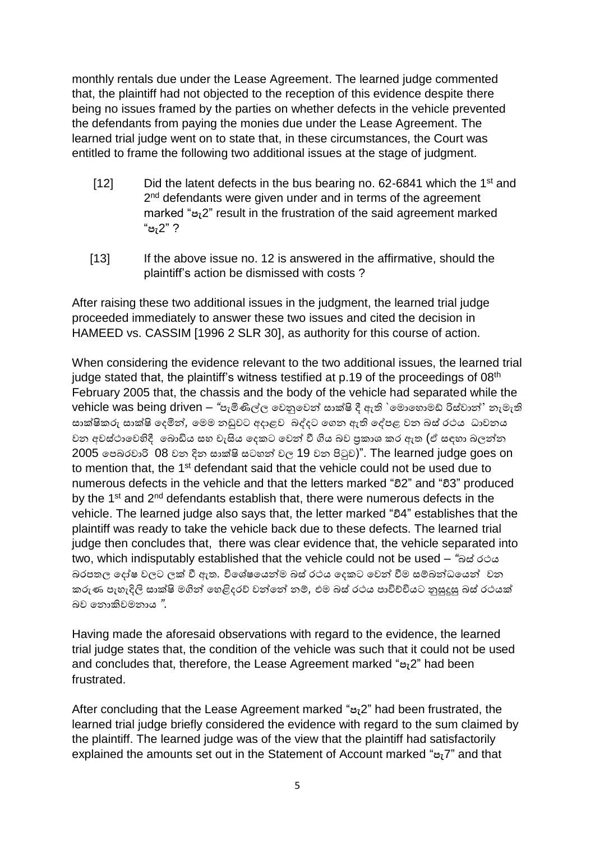monthly rentals due under the Lease Agreement. The learned judge commented that, the plaintiff had not objected to the reception of this evidence despite there being no issues framed by the parties on whether defects in the vehicle prevented the defendants from paying the monies due under the Lease Agreement. The learned trial judge went on to state that, in these circumstances, the Court was entitled to frame the following two additional issues at the stage of judgment.

- [12] Did the latent defects in the bus bearing no. 62-6841 which the 1<sup>st</sup> and 2<sup>nd</sup> defendants were given under and in terms of the agreement marked "**පැ**2" result in the frustration of the said agreement marked "**පැ**2" ?
- [13] If the above issue no. 12 is answered in the affirmative, should the plaintiff's action be dismissed with costs ?

After raising these two additional issues in the judgment, the learned trial judge proceeded immediately to answer these two issues and cited the decision in HAMEED vs. CASSIM [1996 2 SLR 30], as authority for this course of action.

When considering the evidence relevant to the two additional issues, the learned trial judge stated that, the plaintiff's witness testified at  $p.19$  of the proceedings of  $08<sup>th</sup>$ February 2005 that, the chassis and the body of the vehicle had separated while the vehicle was being driven – "පැමිණිල්ල වෙනුවෙන් සාක්ෂි දී ඇති `මොහොමඩ් රිස්වාන්' නැමැති සාක්ෂිකරු සාක්ෂි දෙමින්, මෙම නඩුවට අදාළව බද්දට ගෙන ඇති දේපළ වන බස් රථය ධාවනය වන අවස්ථාවෙහිදී බොඩිය සහ චැසිය දෙකට වෙන් වී ගිය බව පුකාශ කර ඇත (ඒ සඳහා බලන්න  $2005$  පෙබරවාරි 08 වන දින සාක්ෂි සටහන් වල 19 වන පිටුව)". The learned judge goes on to mention that, the 1<sup>st</sup> defendant said that the vehicle could not be used due to numerous defects in the vehicle and that the letters marked "**වි**2" and "**වි**3" produced by the 1<sup>st</sup> and 2<sup>nd</sup> defendants establish that, there were numerous defects in the vehicle. The learned judge also says that, the letter marked "**වි**4" establishes that the plaintiff was ready to take the vehicle back due to these defects. The learned trial judge then concludes that, there was clear evidence that, the vehicle separated into two, which indisputably established that the vehicle could not be used – *"*බස්රථය බරපතල වෙෝෂ ෙලට ලක්ෂ වී ඇත*.* විවශ්ෂවයන්ම බස් රථය වෙකට වෙන් වීම සම්බන්ධවයන් ෙන කරුණ පැහැදිලි සාක්ෂි මගින් හෙළිදරව් වන්නේ නම්, එම බස් රථය පාවිච්චියට නුසුදුසු බස් රථයක් බෙ වනාකිෙමනාය *"*.

Having made the aforesaid observations with regard to the evidence, the learned trial judge states that, the condition of the vehicle was such that it could not be used and concludes that, therefore, the Lease Agreement marked "**පැ**2" had been frustrated.

After concluding that the Lease Agreement marked "**පැ**2" had been frustrated, the learned trial judge briefly considered the evidence with regard to the sum claimed by the plaintiff. The learned judge was of the view that the plaintiff had satisfactorily explained the amounts set out in the Statement of Account marked "**පැ**7" and that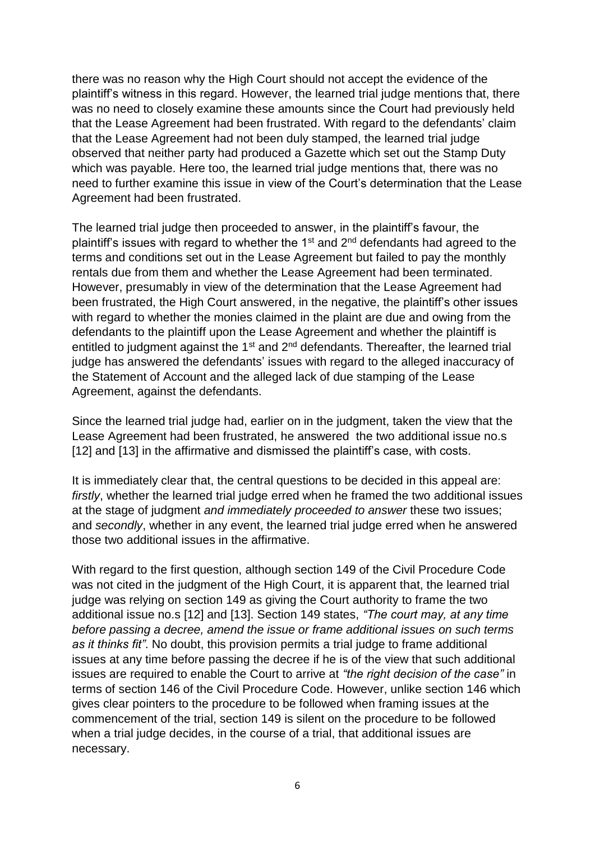there was no reason why the High Court should not accept the evidence of the plaintiff's witness in this regard. However, the learned trial judge mentions that, there was no need to closely examine these amounts since the Court had previously held that the Lease Agreement had been frustrated. With regard to the defendants' claim that the Lease Agreement had not been duly stamped, the learned trial judge observed that neither party had produced a Gazette which set out the Stamp Duty which was payable. Here too, the learned trial judge mentions that, there was no need to further examine this issue in view of the Court's determination that the Lease Agreement had been frustrated.

The learned trial judge then proceeded to answer, in the plaintiff's favour, the plaintiff's issues with regard to whether the  $1<sup>st</sup>$  and  $2<sup>nd</sup>$  defendants had agreed to the terms and conditions set out in the Lease Agreement but failed to pay the monthly rentals due from them and whether the Lease Agreement had been terminated. However, presumably in view of the determination that the Lease Agreement had been frustrated, the High Court answered, in the negative, the plaintiff's other issues with regard to whether the monies claimed in the plaint are due and owing from the defendants to the plaintiff upon the Lease Agreement and whether the plaintiff is entitled to judgment against the  $1<sup>st</sup>$  and  $2<sup>nd</sup>$  defendants. Thereafter, the learned trial judge has answered the defendants' issues with regard to the alleged inaccuracy of the Statement of Account and the alleged lack of due stamping of the Lease Agreement, against the defendants.

Since the learned trial judge had, earlier on in the judgment, taken the view that the Lease Agreement had been frustrated, he answered the two additional issue no.s [12] and [13] in the affirmative and dismissed the plaintiff's case, with costs.

It is immediately clear that, the central questions to be decided in this appeal are: *firstly*, whether the learned trial judge erred when he framed the two additional issues at the stage of judgment *and immediately proceeded to answer* these two issues; and *secondly*, whether in any event, the learned trial judge erred when he answered those two additional issues in the affirmative.

With regard to the first question, although section 149 of the Civil Procedure Code was not cited in the judgment of the High Court, it is apparent that, the learned trial judge was relying on section 149 as giving the Court authority to frame the two additional issue no.s [12] and [13]. Section 149 states, *"The court may, at any time before passing a decree, amend the issue or frame additional issues on such terms as it thinks fit"*. No doubt, this provision permits a trial judge to frame additional issues at any time before passing the decree if he is of the view that such additional issues are required to enable the Court to arrive at *"the right decision of the case"* in terms of section 146 of the Civil Procedure Code. However, unlike section 146 which gives clear pointers to the procedure to be followed when framing issues at the commencement of the trial, section 149 is silent on the procedure to be followed when a trial judge decides, in the course of a trial, that additional issues are necessary.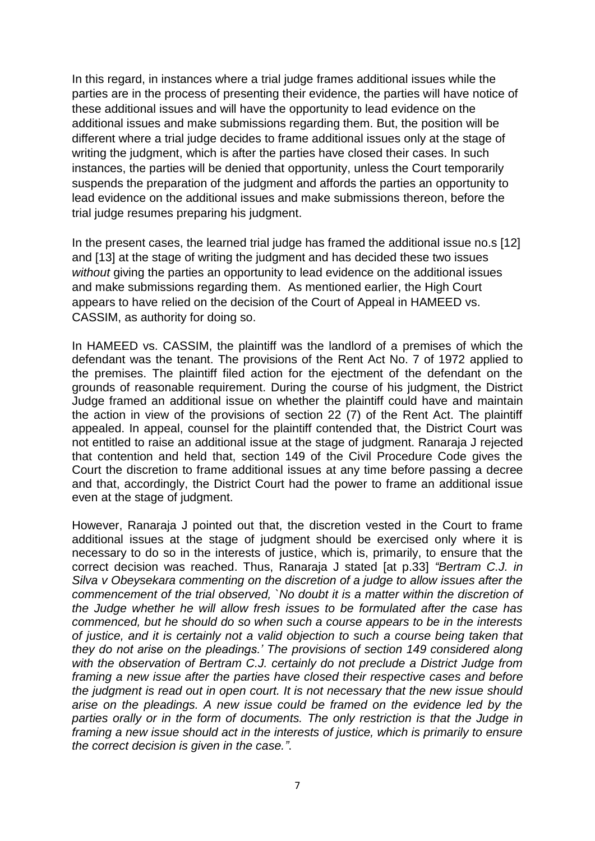In this regard, in instances where a trial judge frames additional issues while the parties are in the process of presenting their evidence, the parties will have notice of these additional issues and will have the opportunity to lead evidence on the additional issues and make submissions regarding them. But, the position will be different where a trial judge decides to frame additional issues only at the stage of writing the judgment, which is after the parties have closed their cases. In such instances, the parties will be denied that opportunity, unless the Court temporarily suspends the preparation of the judgment and affords the parties an opportunity to lead evidence on the additional issues and make submissions thereon, before the trial judge resumes preparing his judgment.

In the present cases, the learned trial judge has framed the additional issue no.s [12] and [13] at the stage of writing the judgment and has decided these two issues *without* giving the parties an opportunity to lead evidence on the additional issues and make submissions regarding them. As mentioned earlier, the High Court appears to have relied on the decision of the Court of Appeal in HAMEED vs. CASSIM, as authority for doing so.

In HAMEED vs. CASSIM, the plaintiff was the landlord of a premises of which the defendant was the tenant. The provisions of the Rent Act No. 7 of 1972 applied to the premises. The plaintiff filed action for the ejectment of the defendant on the grounds of reasonable requirement. During the course of his judgment, the District Judge framed an additional issue on whether the plaintiff could have and maintain the action in view of the provisions of section 22 (7) of the Rent Act. The plaintiff appealed. In appeal, counsel for the plaintiff contended that, the District Court was not entitled to raise an additional issue at the stage of judgment. Ranaraja J rejected that contention and held that, section 149 of the Civil Procedure Code gives the Court the discretion to frame additional issues at any time before passing a decree and that, accordingly, the District Court had the power to frame an additional issue even at the stage of judgment.

However, Ranaraja J pointed out that, the discretion vested in the Court to frame additional issues at the stage of judgment should be exercised only where it is necessary to do so in the interests of justice, which is, primarily, to ensure that the correct decision was reached. Thus, Ranaraja J stated [at p.33] *"Bertram C.J. in Silva v Obeysekara commenting on the discretion of a judge to allow issues after the commencement of the trial observed, `No doubt it is a matter within the discretion of the Judge whether he will allow fresh issues to be formulated after the case has commenced, but he should do so when such a course appears to be in the interests of justice, and it is certainly not a valid objection to such a course being taken that they do not arise on the pleadings.' The provisions of section 149 considered along with the observation of Bertram C.J. certainly do not preclude a District Judge from framing a new issue after the parties have closed their respective cases and before the judgment is read out in open court. It is not necessary that the new issue should arise on the pleadings. A new issue could be framed on the evidence led by the parties orally or in the form of documents. The only restriction is that the Judge in framing a new issue should act in the interests of justice, which is primarily to ensure the correct decision is given in the case."*.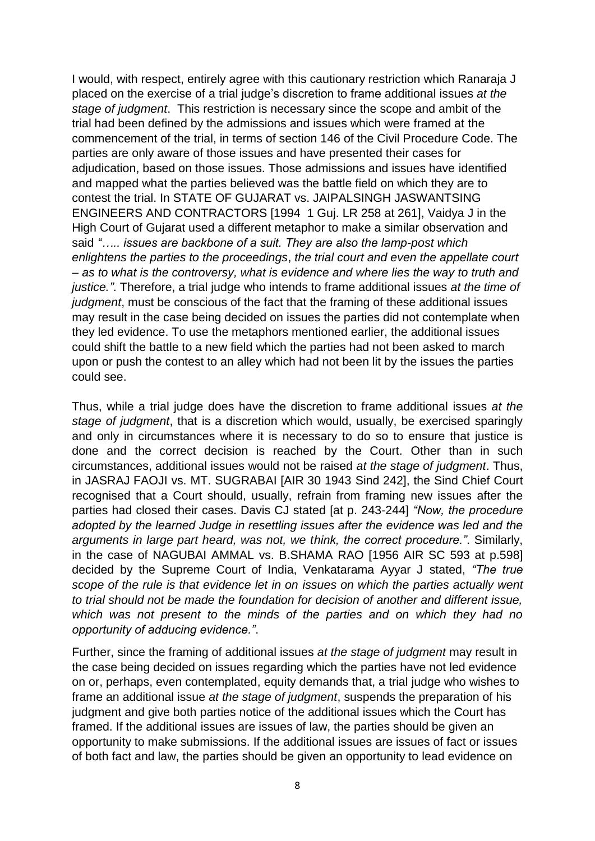I would, with respect, entirely agree with this cautionary restriction which Ranaraja J placed on the exercise of a trial judge's discretion to frame additional issues *at the stage of judgment*. This restriction is necessary since the scope and ambit of the trial had been defined by the admissions and issues which were framed at the commencement of the trial, in terms of section 146 of the Civil Procedure Code. The parties are only aware of those issues and have presented their cases for adjudication, based on those issues. Those admissions and issues have identified and mapped what the parties believed was the battle field on which they are to contest the trial. In STATE OF GUJARAT vs. JAIPALSINGH JASWANTSING ENGINEERS AND CONTRACTORS [1994 1 Guj. LR 258 at 261], Vaidya J in the High Court of Gujarat used a different metaphor to make a similar observation and said *"….. issues are backbone of a suit. They are also the lamp-post which enlightens the parties to the proceedings*, *the trial court and even the appellate court – as to what is the controversy, what is evidence and where lies the way to truth and justice."*. Therefore, a trial judge who intends to frame additional issues *at the time of judgment*, must be conscious of the fact that the framing of these additional issues may result in the case being decided on issues the parties did not contemplate when they led evidence. To use the metaphors mentioned earlier, the additional issues could shift the battle to a new field which the parties had not been asked to march upon or push the contest to an alley which had not been lit by the issues the parties could see.

Thus, while a trial judge does have the discretion to frame additional issues *at the stage of judgment*, that is a discretion which would, usually, be exercised sparingly and only in circumstances where it is necessary to do so to ensure that justice is done and the correct decision is reached by the Court. Other than in such circumstances, additional issues would not be raised *at the stage of judgment*. Thus, in JASRAJ FAOJI vs. MT. SUGRABAI [AIR 30 1943 Sind 242], the Sind Chief Court recognised that a Court should, usually, refrain from framing new issues after the parties had closed their cases. Davis CJ stated [at p. 243-244] *"Now, the procedure adopted by the learned Judge in resettling issues after the evidence was led and the arguments in large part heard, was not, we think, the correct procedure."*. Similarly, in the case of NAGUBAI AMMAL vs. B.SHAMA RAO [1956 AIR SC 593 at p.598] decided by the Supreme Court of India, Venkatarama Ayyar J stated, *"The true scope of the rule is that evidence let in on issues on which the parties actually went to trial should not be made the foundation for decision of another and different issue, which was not present to the minds of the parties and on which they had no opportunity of adducing evidence."*.

Further, since the framing of additional issues *at the stage of judgment* may result in the case being decided on issues regarding which the parties have not led evidence on or, perhaps, even contemplated, equity demands that, a trial judge who wishes to frame an additional issue *at the stage of judgment*, suspends the preparation of his judgment and give both parties notice of the additional issues which the Court has framed. If the additional issues are issues of law, the parties should be given an opportunity to make submissions. If the additional issues are issues of fact or issues of both fact and law, the parties should be given an opportunity to lead evidence on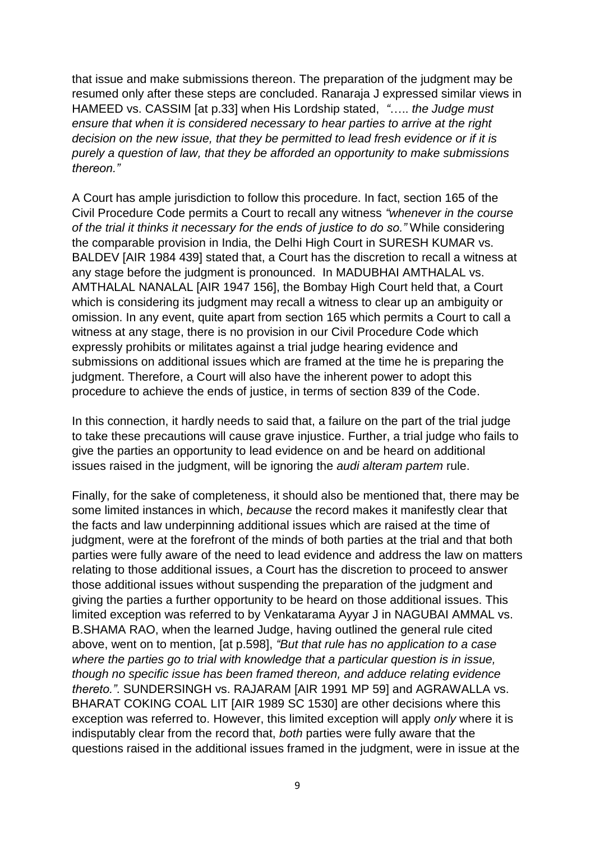that issue and make submissions thereon. The preparation of the judgment may be resumed only after these steps are concluded. Ranaraja J expressed similar views in HAMEED vs. CASSIM [at p.33] when His Lordship stated, *"*….. *the Judge must ensure that when it is considered necessary to hear parties to arrive at the right decision on the new issue, that they be permitted to lead fresh evidence or if it is purely a question of law, that they be afforded an opportunity to make submissions thereon."*

A Court has ample jurisdiction to follow this procedure. In fact, section 165 of the Civil Procedure Code permits a Court to recall any witness *"whenever in the course of the trial it thinks it necessary for the ends of justice to do so."* While considering the comparable provision in India, the Delhi High Court in SURESH KUMAR vs. BALDEV [AIR 1984 439] stated that, a Court has the discretion to recall a witness at any stage before the judgment is pronounced. In MADUBHAI AMTHALAL vs. AMTHALAL NANALAL [AIR 1947 156], the Bombay High Court held that, a Court which is considering its judgment may recall a witness to clear up an ambiguity or omission. In any event, quite apart from section 165 which permits a Court to call a witness at any stage, there is no provision in our Civil Procedure Code which expressly prohibits or militates against a trial judge hearing evidence and submissions on additional issues which are framed at the time he is preparing the judgment. Therefore, a Court will also have the inherent power to adopt this procedure to achieve the ends of justice, in terms of section 839 of the Code.

In this connection, it hardly needs to said that, a failure on the part of the trial judge to take these precautions will cause grave injustice. Further, a trial judge who fails to give the parties an opportunity to lead evidence on and be heard on additional issues raised in the judgment, will be ignoring the *audi alteram partem* rule.

Finally, for the sake of completeness, it should also be mentioned that, there may be some limited instances in which, *because* the record makes it manifestly clear that the facts and law underpinning additional issues which are raised at the time of judgment, were at the forefront of the minds of both parties at the trial and that both parties were fully aware of the need to lead evidence and address the law on matters relating to those additional issues, a Court has the discretion to proceed to answer those additional issues without suspending the preparation of the judgment and giving the parties a further opportunity to be heard on those additional issues. This limited exception was referred to by Venkatarama Ayyar J in NAGUBAI AMMAL vs. B.SHAMA RAO, when the learned Judge, having outlined the general rule cited above, went on to mention, [at p.598], *"But that rule has no application to a case where the parties go to trial with knowledge that a particular question is in issue, though no specific issue has been framed thereon, and adduce relating evidence thereto."*. SUNDERSINGH vs. RAJARAM [AIR 1991 MP 59] and AGRAWALLA vs. BHARAT COKING COAL LIT [AIR 1989 SC 1530] are other decisions where this exception was referred to. However, this limited exception will apply *only* where it is indisputably clear from the record that, *both* parties were fully aware that the questions raised in the additional issues framed in the judgment, were in issue at the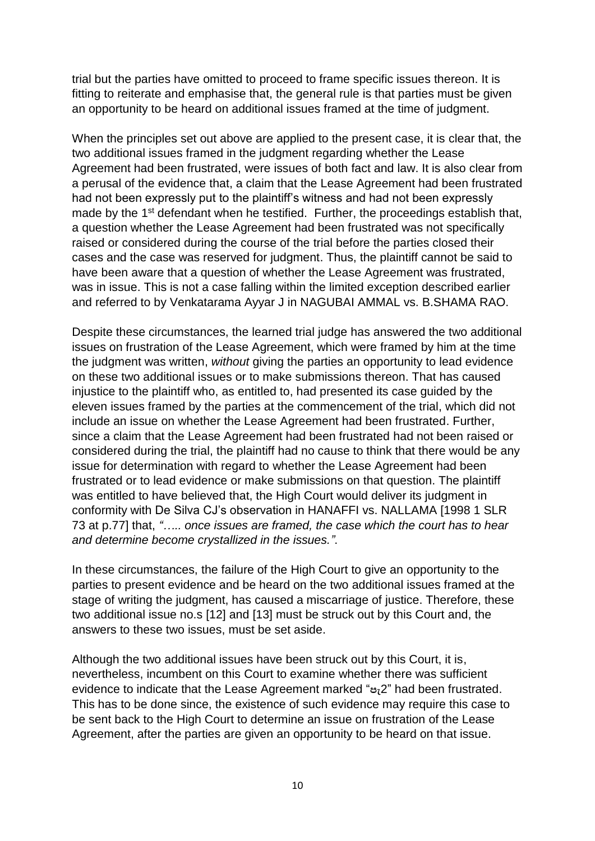trial but the parties have omitted to proceed to frame specific issues thereon. It is fitting to reiterate and emphasise that, the general rule is that parties must be given an opportunity to be heard on additional issues framed at the time of judgment.

When the principles set out above are applied to the present case, it is clear that, the two additional issues framed in the judgment regarding whether the Lease Agreement had been frustrated, were issues of both fact and law. It is also clear from a perusal of the evidence that, a claim that the Lease Agreement had been frustrated had not been expressly put to the plaintiff's witness and had not been expressly made by the 1<sup>st</sup> defendant when he testified. Further, the proceedings establish that, a question whether the Lease Agreement had been frustrated was not specifically raised or considered during the course of the trial before the parties closed their cases and the case was reserved for judgment. Thus, the plaintiff cannot be said to have been aware that a question of whether the Lease Agreement was frustrated, was in issue. This is not a case falling within the limited exception described earlier and referred to by Venkatarama Ayyar J in NAGUBAI AMMAL vs. B.SHAMA RAO.

Despite these circumstances, the learned trial judge has answered the two additional issues on frustration of the Lease Agreement, which were framed by him at the time the judgment was written, *without* giving the parties an opportunity to lead evidence on these two additional issues or to make submissions thereon. That has caused injustice to the plaintiff who, as entitled to, had presented its case guided by the eleven issues framed by the parties at the commencement of the trial, which did not include an issue on whether the Lease Agreement had been frustrated. Further, since a claim that the Lease Agreement had been frustrated had not been raised or considered during the trial, the plaintiff had no cause to think that there would be any issue for determination with regard to whether the Lease Agreement had been frustrated or to lead evidence or make submissions on that question. The plaintiff was entitled to have believed that, the High Court would deliver its judgment in conformity with De Silva CJ's observation in HANAFFI vs. NALLAMA [1998 1 SLR 73 at p.77] that, *"….. once issues are framed, the case which the court has to hear and determine become crystallized in the issues."*.

In these circumstances, the failure of the High Court to give an opportunity to the parties to present evidence and be heard on the two additional issues framed at the stage of writing the judgment, has caused a miscarriage of justice. Therefore, these two additional issue no.s [12] and [13] must be struck out by this Court and, the answers to these two issues, must be set aside.

Although the two additional issues have been struck out by this Court, it is, nevertheless, incumbent on this Court to examine whether there was sufficient evidence to indicate that the Lease Agreement marked "**පැ**2" had been frustrated. This has to be done since, the existence of such evidence may require this case to be sent back to the High Court to determine an issue on frustration of the Lease Agreement, after the parties are given an opportunity to be heard on that issue.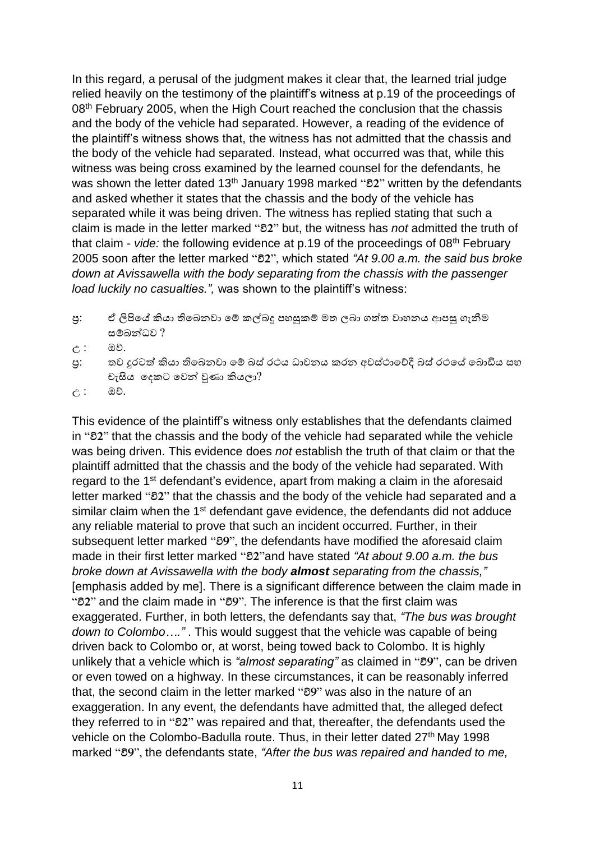In this regard, a perusal of the judgment makes it clear that, the learned trial judge relied heavily on the testimony of the plaintiff's witness at p.19 of the proceedings of 08<sup>th</sup> February 2005, when the High Court reached the conclusion that the chassis and the body of the vehicle had separated. However, a reading of the evidence of the plaintiff's witness shows that, the witness has not admitted that the chassis and the body of the vehicle had separated. Instead, what occurred was that, while this witness was being cross examined by the learned counsel for the defendants, he was shown the letter dated 13th January 1998 marked "**වි2**" written by the defendants and asked whether it states that the chassis and the body of the vehicle has separated while it was being driven. The witness has replied stating that such a claim is made in the letter marked "**වි2**" but, the witness has *not* admitted the truth of that claim - *vide:* the following evidence at p.19 of the proceedings of 08th February 2005 soon after the letter marked "**වි2**", which stated *"At 9.00 a.m. the said bus broke down at Avissawella with the body separating from the chassis with the passenger load luckily no casualties.",* was shown to the plaintiff's witness:

- පු: ඒ ලිපියේ කියා තිබෙනවා මේ කල්බදු පහසුකම් මත ලබා ගත්ත වාහනය ආපසු ගැනීම සම්බන්ධෙ ?
- උ : ඔව්.
- පු: තව දුරටත් කියා තිබෙනවා මේ බස් රථය ධාවනය කරන අවස්ථාවේදී බස් රථයේ බොඩිය සහ චැසිය වෙකට වෙන් වුණා කියලා?
- උ : ඔව්.

This evidence of the plaintiff's witness only establishes that the defendants claimed in "**වි2**" that the chassis and the body of the vehicle had separated while the vehicle was being driven. This evidence does *not* establish the truth of that claim or that the plaintiff admitted that the chassis and the body of the vehicle had separated. With regard to the 1<sup>st</sup> defendant's evidence, apart from making a claim in the aforesaid letter marked "**වි2**" that the chassis and the body of the vehicle had separated and a similar claim when the 1<sup>st</sup> defendant gave evidence, the defendants did not adduce any reliable material to prove that such an incident occurred. Further, in their subsequent letter marked "**වි9**", the defendants have modified the aforesaid claim made in their first letter marked "**වි2**"and have stated *"At about 9.00 a.m. the bus broke down at Avissawella with the body almost separating from the chassis,"* [emphasis added by me]. There is a significant difference between the claim made in "**වි2**" and the claim made in "**වි9**". The inference is that the first claim was exaggerated. Further, in both letters, the defendants say that, *"The bus was brought down to Colombo…."* . This would suggest that the vehicle was capable of being driven back to Colombo or, at worst, being towed back to Colombo. It is highly unlikely that a vehicle which is *"almost separating"* as claimed in "**වි9**", can be driven or even towed on a highway. In these circumstances, it can be reasonably inferred that, the second claim in the letter marked "**වි9**" was also in the nature of an exaggeration. In any event, the defendants have admitted that, the alleged defect they referred to in "**වි2**" was repaired and that, thereafter, the defendants used the vehicle on the Colombo-Badulla route. Thus, in their letter dated 27<sup>th</sup> May 1998 marked "**වි9**", the defendants state, *"After the bus was repaired and handed to me,*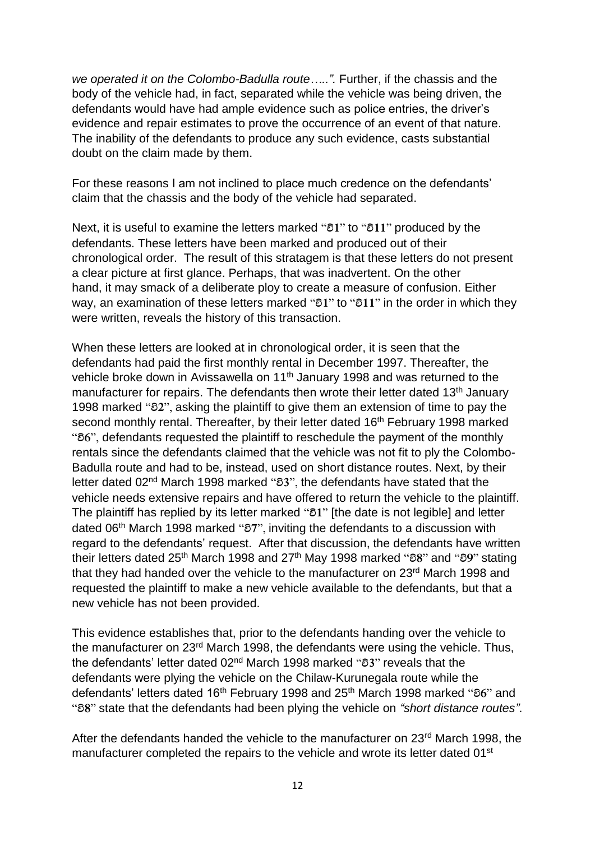*we operated it on the Colombo-Badulla route…..".* Further, if the chassis and the body of the vehicle had, in fact, separated while the vehicle was being driven, the defendants would have had ample evidence such as police entries, the driver's evidence and repair estimates to prove the occurrence of an event of that nature. The inability of the defendants to produce any such evidence, casts substantial doubt on the claim made by them.

For these reasons I am not inclined to place much credence on the defendants' claim that the chassis and the body of the vehicle had separated.

Next, it is useful to examine the letters marked "**වි1**" to "**වි11**" produced by the defendants. These letters have been marked and produced out of their chronological order. The result of this stratagem is that these letters do not present a clear picture at first glance. Perhaps, that was inadvertent. On the other hand, it may smack of a deliberate ploy to create a measure of confusion. Either way, an examination of these letters marked "**වි1**" to "**වි11**" in the order in which they were written, reveals the history of this transaction.

When these letters are looked at in chronological order, it is seen that the defendants had paid the first monthly rental in December 1997. Thereafter, the vehicle broke down in Avissawella on 11th January 1998 and was returned to the manufacturer for repairs. The defendants then wrote their letter dated 13<sup>th</sup> January 1998 marked "**වි2**", asking the plaintiff to give them an extension of time to pay the second monthly rental. Thereafter, by their letter dated 16<sup>th</sup> February 1998 marked "**වි6**", defendants requested the plaintiff to reschedule the payment of the monthly rentals since the defendants claimed that the vehicle was not fit to ply the Colombo-Badulla route and had to be, instead, used on short distance routes. Next, by their letter dated 02nd March 1998 marked "**වි3**", the defendants have stated that the vehicle needs extensive repairs and have offered to return the vehicle to the plaintiff. The plaintiff has replied by its letter marked "**වි1**" [the date is not legible] and letter dated 06th March 1998 marked "**වි7**", inviting the defendants to a discussion with regard to the defendants' request. After that discussion, the defendants have written their letters dated 25th March 1998 and 27th May 1998 marked "**වි8**" and "**වි9**" stating that they had handed over the vehicle to the manufacturer on 23<sup>rd</sup> March 1998 and requested the plaintiff to make a new vehicle available to the defendants, but that a new vehicle has not been provided.

This evidence establishes that, prior to the defendants handing over the vehicle to the manufacturer on 23rd March 1998, the defendants were using the vehicle. Thus, the defendants' letter dated 02nd March 1998 marked "**වි3**" reveals that the defendants were plying the vehicle on the Chilaw-Kurunegala route while the defendants' letters dated 16th February 1998 and 25th March 1998 marked "**වි6**" and "**වි8**" state that the defendants had been plying the vehicle on *"short distance routes"*.

After the defendants handed the vehicle to the manufacturer on 23rd March 1998, the manufacturer completed the repairs to the vehicle and wrote its letter dated 01<sup>st</sup>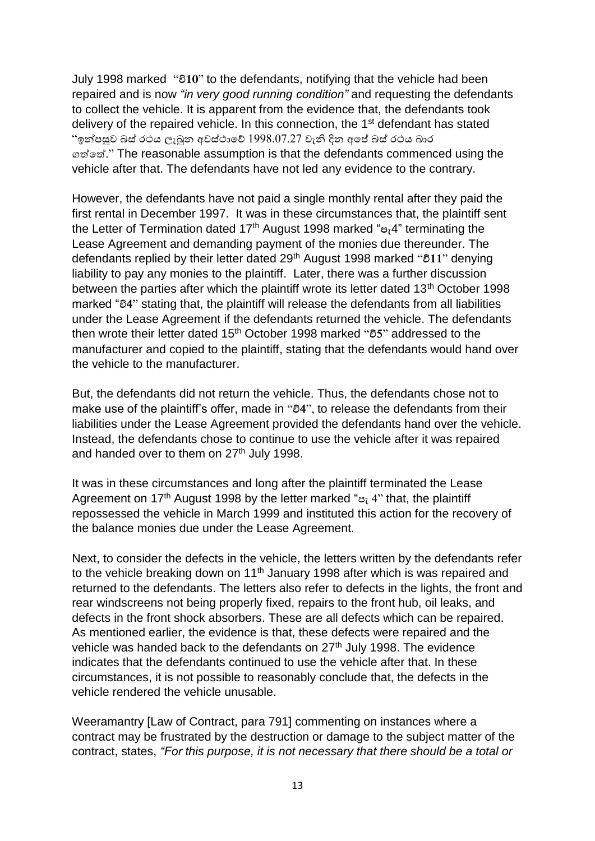July 1998 marked "**වි10**" to the defendants, notifying that the vehicle had been repaired and is now *"in very good running condition"* and requesting the defendants to collect the vehicle. It is apparent from the evidence that, the defendants took delivery of the repaired vehicle. In this connection, the 1<sup>st</sup> defendant has stated  $\degree$ ඉන්පසුව බස් රථය ලැබුන අවස්ථාවේ  $1998.07.27$  වැනි දින අපේ බස් රථය බාර ෙත්වත්." The reasonable assumption is that the defendants commenced using the vehicle after that. The defendants have not led any evidence to the contrary.

However, the defendants have not paid a single monthly rental after they paid the first rental in December 1997. It was in these circumstances that, the plaintiff sent the Letter of Termination dated 17th August 1998 marked "**පැ**4" terminating the Lease Agreement and demanding payment of the monies due thereunder. The defendants replied by their letter dated 29th August 1998 marked "**වි11**" denying liability to pay any monies to the plaintiff. Later, there was a further discussion between the parties after which the plaintiff wrote its letter dated 13<sup>th</sup> October 1998 marked "**වි4**" stating that, the plaintiff will release the defendants from all liabilities under the Lease Agreement if the defendants returned the vehicle. The defendants then wrote their letter dated 15th October 1998 marked "**වි5**" addressed to the manufacturer and copied to the plaintiff, stating that the defendants would hand over the vehicle to the manufacturer.

But, the defendants did not return the vehicle. Thus, the defendants chose not to make use of the plaintiff's offer, made in "**වි4**", to release the defendants from their liabilities under the Lease Agreement provided the defendants hand over the vehicle. Instead, the defendants chose to continue to use the vehicle after it was repaired and handed over to them on  $27<sup>th</sup>$  July 1998.

It was in these circumstances and long after the plaintiff terminated the Lease Agreement on 17<sup>th</sup> August 1998 by the letter marked " $\epsilon$ <sup>2</sup>" that, the plaintiff repossessed the vehicle in March 1999 and instituted this action for the recovery of the balance monies due under the Lease Agreement.

Next, to consider the defects in the vehicle, the letters written by the defendants refer to the vehicle breaking down on 11<sup>th</sup> January 1998 after which is was repaired and returned to the defendants. The letters also refer to defects in the lights, the front and rear windscreens not being properly fixed, repairs to the front hub, oil leaks, and defects in the front shock absorbers. These are all defects which can be repaired. As mentioned earlier, the evidence is that, these defects were repaired and the vehicle was handed back to the defendants on 27<sup>th</sup> July 1998. The evidence indicates that the defendants continued to use the vehicle after that. In these circumstances, it is not possible to reasonably conclude that, the defects in the vehicle rendered the vehicle unusable.

Weeramantry [Law of Contract, para 791] commenting on instances where a contract may be frustrated by the destruction or damage to the subject matter of the contract, states, *"For this purpose, it is not necessary that there should be a total or*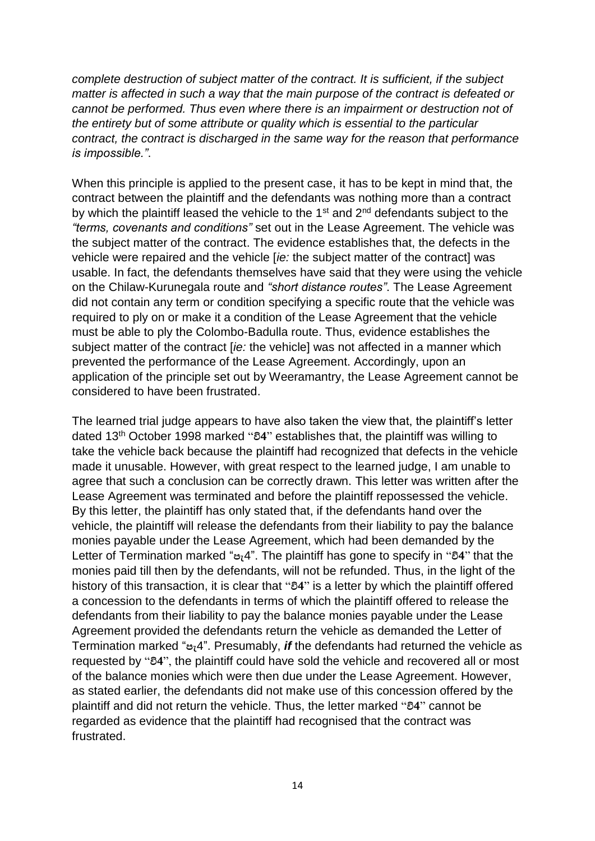*complete destruction of subject matter of the contract. It is sufficient, if the subject matter is affected in such a way that the main purpose of the contract is defeated or cannot be performed. Thus even where there is an impairment or destruction not of the entirety but of some attribute or quality which is essential to the particular contract, the contract is discharged in the same way for the reason that performance is impossible."*.

When this principle is applied to the present case, it has to be kept in mind that, the contract between the plaintiff and the defendants was nothing more than a contract by which the plaintiff leased the vehicle to the  $1<sup>st</sup>$  and  $2<sup>nd</sup>$  defendants subject to the *"terms, covenants and conditions"* set out in the Lease Agreement. The vehicle was the subject matter of the contract. The evidence establishes that, the defects in the vehicle were repaired and the vehicle [*ie:* the subject matter of the contract] was usable. In fact, the defendants themselves have said that they were using the vehicle on the Chilaw-Kurunegala route and *"short distance routes"*. The Lease Agreement did not contain any term or condition specifying a specific route that the vehicle was required to ply on or make it a condition of the Lease Agreement that the vehicle must be able to ply the Colombo-Badulla route. Thus, evidence establishes the subject matter of the contract [*ie:* the vehicle] was not affected in a manner which prevented the performance of the Lease Agreement. Accordingly, upon an application of the principle set out by Weeramantry, the Lease Agreement cannot be considered to have been frustrated.

The learned trial judge appears to have also taken the view that, the plaintiff's letter dated 13th October 1998 marked "**වි4**" establishes that, the plaintiff was willing to take the vehicle back because the plaintiff had recognized that defects in the vehicle made it unusable. However, with great respect to the learned judge, I am unable to agree that such a conclusion can be correctly drawn. This letter was written after the Lease Agreement was terminated and before the plaintiff repossessed the vehicle. By this letter, the plaintiff has only stated that, if the defendants hand over the vehicle, the plaintiff will release the defendants from their liability to pay the balance monies payable under the Lease Agreement, which had been demanded by the Letter of Termination marked "**පැ**4". The plaintiff has gone to specify in "**වි4**" that the monies paid till then by the defendants, will not be refunded. Thus, in the light of the history of this transaction, it is clear that "**වි4**" is a letter by which the plaintiff offered a concession to the defendants in terms of which the plaintiff offered to release the defendants from their liability to pay the balance monies payable under the Lease Agreement provided the defendants return the vehicle as demanded the Letter of Termination marked "**පැ**4". Presumably, *if* the defendants had returned the vehicle as requested by "**වි4**", the plaintiff could have sold the vehicle and recovered all or most of the balance monies which were then due under the Lease Agreement. However, as stated earlier, the defendants did not make use of this concession offered by the plaintiff and did not return the vehicle. Thus, the letter marked "**වි4**" cannot be regarded as evidence that the plaintiff had recognised that the contract was frustrated.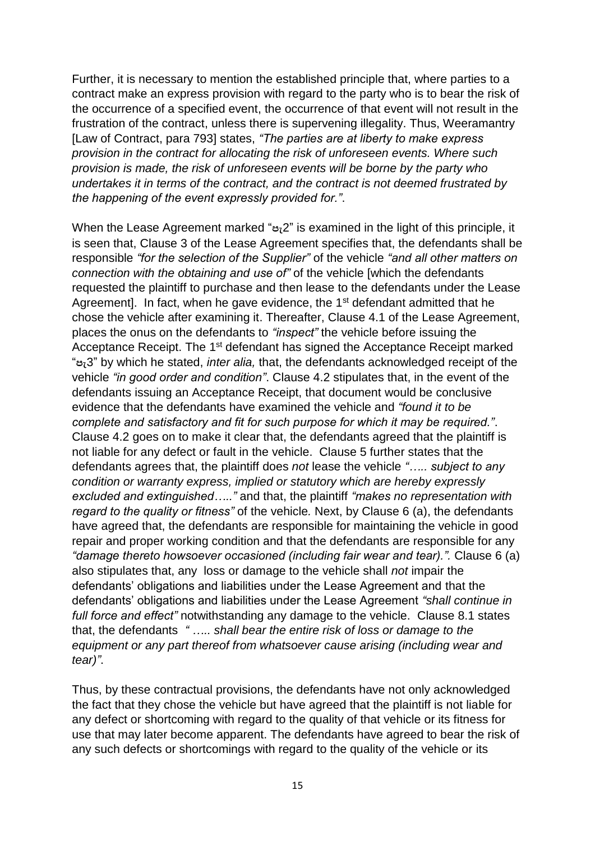Further, it is necessary to mention the established principle that, where parties to a contract make an express provision with regard to the party who is to bear the risk of the occurrence of a specified event, the occurrence of that event will not result in the frustration of the contract, unless there is supervening illegality. Thus, Weeramantry [Law of Contract, para 793] states, *"The parties are at liberty to make express provision in the contract for allocating the risk of unforeseen events. Where such provision is made, the risk of unforeseen events will be borne by the party who undertakes it in terms of the contract, and the contract is not deemed frustrated by the happening of the event expressly provided for."*.

When the Lease Agreement marked "**පැ**2" is examined in the light of this principle, it is seen that, Clause 3 of the Lease Agreement specifies that, the defendants shall be responsible *"for the selection of the Supplier"* of the vehicle *"and all other matters on connection with the obtaining and use of"* of the vehicle [which the defendants requested the plaintiff to purchase and then lease to the defendants under the Lease Agreement]. In fact, when he gave evidence, the 1<sup>st</sup> defendant admitted that he chose the vehicle after examining it. Thereafter, Clause 4.1 of the Lease Agreement, places the onus on the defendants to *"inspect"* the vehicle before issuing the Acceptance Receipt. The 1<sup>st</sup> defendant has signed the Acceptance Receipt marked "**පැ**3" by which he stated, *inter alia,* that, the defendants acknowledged receipt of the vehicle *"in good order and condition"*. Clause 4.2 stipulates that, in the event of the defendants issuing an Acceptance Receipt, that document would be conclusive evidence that the defendants have examined the vehicle and *"found it to be complete and satisfactory and fit for such purpose for which it may be required."*. Clause 4.2 goes on to make it clear that, the defendants agreed that the plaintiff is not liable for any defect or fault in the vehicle. Clause 5 further states that the defendants agrees that, the plaintiff does *not* lease the vehicle *"….. subject to any condition or warranty express, implied or statutory which are hereby expressly excluded and extinguished….."* and that, the plaintiff *"makes no representation with regard to the quality or fitness"* of the vehicle*.* Next, by Clause 6 (a), the defendants have agreed that, the defendants are responsible for maintaining the vehicle in good repair and proper working condition and that the defendants are responsible for any *"damage thereto howsoever occasioned (including fair wear and tear).".* Clause 6 (a) also stipulates that, any loss or damage to the vehicle shall *not* impair the defendants' obligations and liabilities under the Lease Agreement and that the defendants' obligations and liabilities under the Lease Agreement *"shall continue in full force and effect"* notwithstanding any damage to the vehicle. Clause 8.1 states that, the defendants *" ….. shall bear the entire risk of loss or damage to the equipment or any part thereof from whatsoever cause arising (including wear and tear)"*.

Thus, by these contractual provisions, the defendants have not only acknowledged the fact that they chose the vehicle but have agreed that the plaintiff is not liable for any defect or shortcoming with regard to the quality of that vehicle or its fitness for use that may later become apparent. The defendants have agreed to bear the risk of any such defects or shortcomings with regard to the quality of the vehicle or its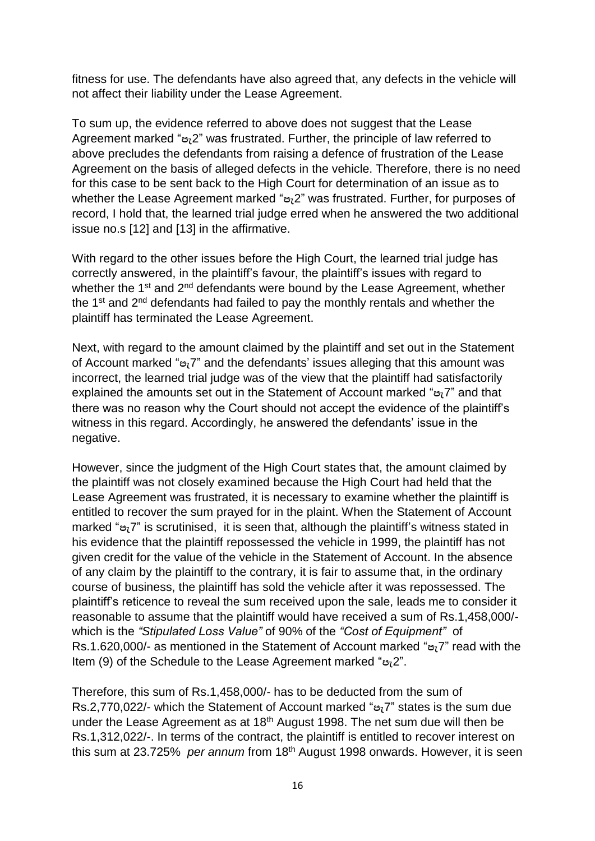fitness for use. The defendants have also agreed that, any defects in the vehicle will not affect their liability under the Lease Agreement.

To sum up, the evidence referred to above does not suggest that the Lease Agreement marked "**පැ**2" was frustrated. Further, the principle of law referred to above precludes the defendants from raising a defence of frustration of the Lease Agreement on the basis of alleged defects in the vehicle. Therefore, there is no need for this case to be sent back to the High Court for determination of an issue as to whether the Lease Agreement marked "**පැ**2" was frustrated. Further, for purposes of record, I hold that, the learned trial judge erred when he answered the two additional issue no.s [12] and [13] in the affirmative.

With regard to the other issues before the High Court, the learned trial judge has correctly answered, in the plaintiff's favour, the plaintiff's issues with regard to whether the 1<sup>st</sup> and 2<sup>nd</sup> defendants were bound by the Lease Agreement, whether the 1<sup>st</sup> and 2<sup>nd</sup> defendants had failed to pay the monthly rentals and whether the plaintiff has terminated the Lease Agreement.

Next, with regard to the amount claimed by the plaintiff and set out in the Statement of Account marked "**පැ**7" and the defendants' issues alleging that this amount was incorrect, the learned trial judge was of the view that the plaintiff had satisfactorily explained the amounts set out in the Statement of Account marked "**පැ**7" and that there was no reason why the Court should not accept the evidence of the plaintiff's witness in this regard. Accordingly, he answered the defendants' issue in the negative.

However, since the judgment of the High Court states that, the amount claimed by the plaintiff was not closely examined because the High Court had held that the Lease Agreement was frustrated, it is necessary to examine whether the plaintiff is entitled to recover the sum prayed for in the plaint. When the Statement of Account marked "**පැ**7" is scrutinised, it is seen that, although the plaintiff's witness stated in his evidence that the plaintiff repossessed the vehicle in 1999, the plaintiff has not given credit for the value of the vehicle in the Statement of Account. In the absence of any claim by the plaintiff to the contrary, it is fair to assume that, in the ordinary course of business, the plaintiff has sold the vehicle after it was repossessed. The plaintiff's reticence to reveal the sum received upon the sale, leads me to consider it reasonable to assume that the plaintiff would have received a sum of Rs.1,458,000/ which is the *"Stipulated Loss Value"* of 90% of the *"Cost of Equipment"* of Rs.1.620,000/- as mentioned in the Statement of Account marked "**පැ**7" read with the Item (9) of the Schedule to the Lease Agreement marked "**පැ**2".

Therefore, this sum of Rs.1,458,000/- has to be deducted from the sum of Rs.2,770,022/- which the Statement of Account marked "**පැ**7" states is the sum due under the Lease Agreement as at 18<sup>th</sup> August 1998. The net sum due will then be Rs.1,312,022/-. In terms of the contract, the plaintiff is entitled to recover interest on this sum at 23.725% *per annum* from 18th August 1998 onwards. However, it is seen